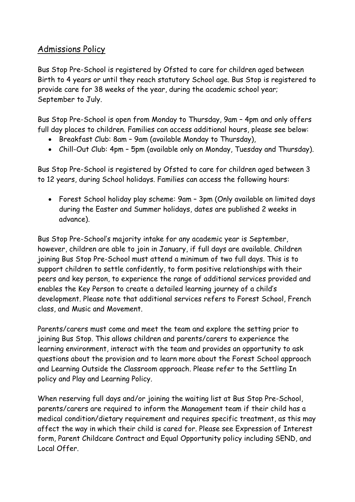# Admissions Policy

Bus Stop Pre-School is registered by Ofsted to care for children aged between Birth to 4 years or until they reach statutory School age. Bus Stop is registered to provide care for 38 weeks of the year, during the academic school year; September to July.

Bus Stop Pre-School is open from Monday to Thursday, 9am – 4pm and only offers full day places to children. Families can access additional hours, please see below:

- Breakfast Club: 8am 9am (available Monday to Thursday),
- Chill-Out Club: 4pm 5pm (available only on Monday, Tuesday and Thursday).

Bus Stop Pre-School is registered by Ofsted to care for children aged between 3 to 12 years, during School holidays. Families can access the following hours:

• Forest School holiday play scheme: 9am – 3pm (Only available on limited days during the Easter and Summer holidays, dates are published 2 weeks in advance).

Bus Stop Pre-School's majority intake for any academic year is September, however, children are able to join in January, if full days are available. Children joining Bus Stop Pre-School must attend a minimum of two full days. This is to support children to settle confidently, to form positive relationships with their peers and key person, to experience the range of additional services provided and enables the Key Person to create a detailed learning journey of a child's development. Please note that additional services refers to Forest School, French class, and Music and Movement.

Parents/carers must come and meet the team and explore the setting prior to joining Bus Stop. This allows children and parents/carers to experience the learning environment, interact with the team and provides an opportunity to ask questions about the provision and to learn more about the Forest School approach and Learning Outside the Classroom approach. Please refer to the Settling In policy and Play and Learning Policy.

When reserving full days and/or joining the waiting list at Bus Stop Pre-School, parents/carers are required to inform the Management team if their child has a medical condition/dietary requirement and requires specific treatment, as this may affect the way in which their child is cared for. Please see Expression of Interest form, Parent Childcare Contract and Equal Opportunity policy including SEND, and Local Offer.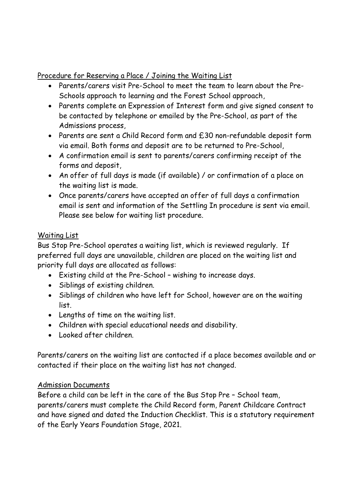### Procedure for Reserving a Place / Joining the Waiting List

- Parents/carers visit Pre-School to meet the team to learn about the Pre-Schools approach to learning and the Forest School approach,
- Parents complete an Expression of Interest form and give signed consent to be contacted by telephone or emailed by the Pre-School, as part of the Admissions process,
- Parents are sent a Child Record form and £30 non-refundable deposit form via email. Both forms and deposit are to be returned to Pre-School,
- A confirmation email is sent to parents/carers confirming receipt of the forms and deposit,
- An offer of full days is made (if available) / or confirmation of a place on the waiting list is made.
- Once parents/carers have accepted an offer of full days a confirmation email is sent and information of the Settling In procedure is sent via email. Please see below for waiting list procedure.

## Waiting List

Bus Stop Pre-School operates a waiting list, which is reviewed regularly. If preferred full days are unavailable, children are placed on the waiting list and priority full days are allocated as follows:

- Existing child at the Pre-School wishing to increase days.
- Siblings of existing children.
- Siblings of children who have left for School, however are on the waiting list.
- Lengths of time on the waiting list.
- Children with special educational needs and disability.
- Looked after children.

Parents/carers on the waiting list are contacted if a place becomes available and or contacted if their place on the waiting list has not changed.

## Admission Documents

Before a child can be left in the care of the Bus Stop Pre – School team, parents/carers must complete the Child Record form, Parent Childcare Contract and have signed and dated the Induction Checklist. This is a statutory requirement of the Early Years Foundation Stage, 2021.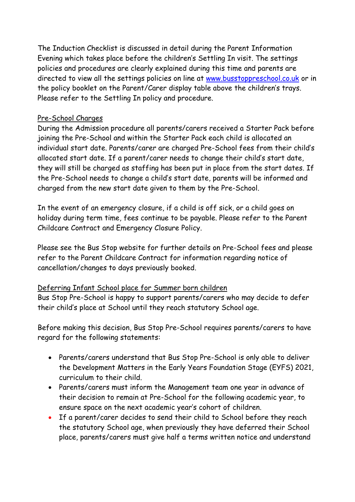The Induction Checklist is discussed in detail during the Parent Information Evening which takes place before the children's Settling In visit. The settings policies and procedures are clearly explained during this time and parents are directed to view all the settings policies on line at [www.busstoppreschool.co.uk](http://www.busstoppreschool.co.uk/) or in the policy booklet on the Parent/Carer display table above the children's trays. Please refer to the Settling In policy and procedure.

#### Pre-School Charges

During the Admission procedure all parents/carers received a Starter Pack before joining the Pre-School and within the Starter Pack each child is allocated an individual start date. Parents/carer are charged Pre-School fees from their child's allocated start date. If a parent/carer needs to change their child's start date, they will still be charged as staffing has been put in place from the start dates. If the Pre-School needs to change a child's start date, parents will be informed and charged from the new start date given to them by the Pre-School.

In the event of an emergency closure, if a child is off sick, or a child goes on holiday during term time, fees continue to be payable. Please refer to the Parent Childcare Contract and Emergency Closure Policy.

Please see the Bus Stop website for further details on Pre-School fees and please refer to the Parent Childcare Contract for information regarding notice of cancellation/changes to days previously booked.

#### Deferring Infant School place for Summer born children

Bus Stop Pre-School is happy to support parents/carers who may decide to defer their child's place at School until they reach statutory School age.

Before making this decision, Bus Stop Pre-School requires parents/carers to have regard for the following statements:

- Parents/carers understand that Bus Stop Pre-School is only able to deliver the Development Matters in the Early Years Foundation Stage (EYFS) 2021, curriculum to their child.
- Parents/carers must inform the Management team one year in advance of their decision to remain at Pre-School for the following academic year, to ensure space on the next academic year's cohort of children.
- If a parent/carer decides to send their child to School before they reach the statutory School age, when previously they have deferred their School place, parents/carers must give half a terms written notice and understand